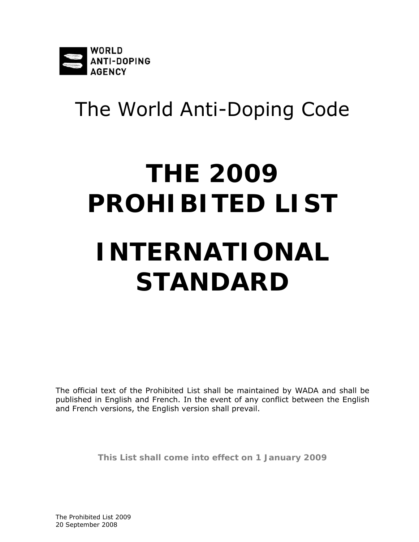

## The World Anti-Doping Code

# **THE 2009 PROHIBITED LIST**

## **INTERNATIONAL STANDARD**

The official text of the *Prohibited List* shall be maintained by *WADA* and shall be published in English and French. In the event of any conflict between the English and French versions, the English version shall prevail.

**This List shall come into effect on 1 January 2009**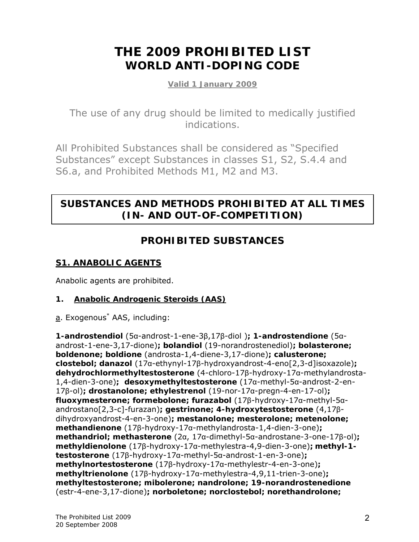## **THE 2009 PROHIBITED LIST WORLD ANTI-DOPING CODE**

**Valid 1 January 2009**

The use of any drug should be limited to medically justified indications.

All *Prohibited Substances* shall be considered as "Specified Substances" except Substances in classes S1, S2, S.4.4 and S6.a, and *Prohibited Methods* M1, M2 and M3.

#### **SUBSTANCES AND METHODS PROHIBITED AT ALL TIMES (IN- AND OUT-OF-COMPETITION)**

### **PROHIBITED SUBSTANCES**

#### **S1. ANABOLIC AGENTS**

Anabolic agents are prohibited.

#### **1. Anabolic Androgenic Steroids (AAS)**

a. Exogenous<sup>\*</sup> AAS, including:

**1-androstendiol** (5α-androst-1-ene-3β,17β-diol )**; 1-androstendione** (5αandrost-1-ene-3,17-dione)**; bolandiol** (19-norandrostenediol)**; bolasterone; boldenone; boldione** (androsta-1,4-diene-3,17-dione)**; calusterone; clostebol; danazol** (17α-ethynyl-17β-hydroxyandrost-4-eno[2,3-d]isoxazole)**; dehydrochlormethyltestosterone** (4-chloro-17β-hydroxy-17α-methylandrosta-1,4-dien-3-one)**; desoxymethyltestosterone** (17α-methyl-5α-androst-2-en-17β-ol)**; drostanolone; ethylestrenol** (19-nor-17α-pregn-4-en-17-ol)**; fluoxymesterone; formebolone; furazabol** (17β-hydroxy-17α-methyl-5αandrostano[2,3-c]-furazan)**; gestrinone; 4-hydroxytestosterone** (4,17βdihydroxyandrost-4-en-3-one)**; mestanolone; mesterolone; metenolone; methandienone** (17β-hydroxy-17α-methylandrosta-1,4-dien-3-one)**; methandriol; methasterone** (2α, 17α-dimethyl-5α-androstane-3-one-17β-ol)**; methyldienolone** (17β-hydroxy-17α-methylestra-4,9-dien-3-one)**; methyl-1 testosterone** (17β-hydroxy-17α-methyl-5α-androst-1-en-3-one)**; methylnortestosterone** (17β-hydroxy-17α-methylestr-4-en-3-one)**; methyltrienolone** (17β-hydroxy-17α-methylestra-4,9,11-trien-3-one)**; methyltestosterone; mibolerone; nandrolone; 19-norandrostenedione**  (estr-4-ene-3,17-dione)**; norboletone; norclostebol; norethandrolone;**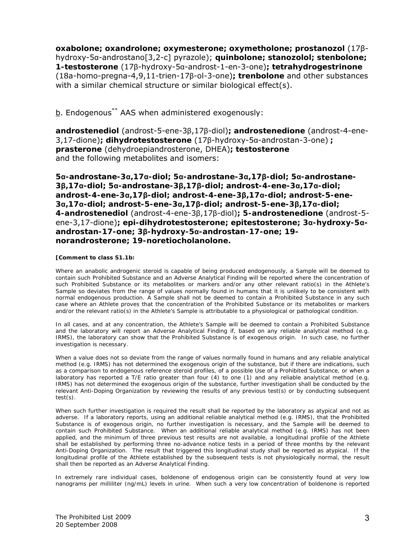**oxabolone; oxandrolone; oxymesterone; oxymetholone; prostanozol** (17βhydroxy-5α-androstano[3,2-c] pyrazole); **quinbolone; stanozolol; stenbolone; 1-testosterone** (17β-hydroxy-5α-androst-1-en-3-one)**; tetrahydrogestrinone**  (18a-homo-pregna-4,9,11-trien-17β-ol-3-one)**; trenbolone** and other substances with a similar chemical structure or similar biological effect(s).

b. Endogenous\*\* AAS when administered exogenously:

**androstenediol** (androst-5-ene-3β,17β-diol)**; androstenedione** (androst-4-ene-3,17-dione)**; dihydrotestosterone** (17β-hydroxy-5α-androstan-3-one) **; prasterone** (dehydroepiandrosterone, DHEA)**; testosterone** and the following metabolites and isomers:

**5α-androstane-3α,17α-diol; 5α-androstane-3α,17β-diol; 5α-androstane-3β,17α-diol; 5α-androstane-3β,17β-diol; androst-4-ene-3α,17α-diol; androst-4-ene-3α,17β-diol; androst-4-ene-3β,17α-diol; androst-5-ene-3α,17α-diol; androst-5-ene-3α,17β-diol; androst-5-ene-3β,17α-diol; 4-androstenediol** (androst-4-ene-3β,17β-diol)**; 5-androstenedione** (androst-5 ene-3,17-dione)**; epi-dihydrotestosterone; epitestosterone; 3α-hydroxy-5αandrostan-17-one; 3β-hydroxy-5α-androstan-17-one; 19 norandrosterone; 19-noretiocholanolone.** 

#### *[Comment to class S1.1b:*

*Where an anabolic androgenic steroid is capable of being produced endogenously, a Sample will be deemed to*  contain such Prohibited Substance and an Adverse Analytical Finding will be reported where the concentration of *such Prohibited Substance or its metabolites or markers and/or any other relevant ratio(s) in the Athlete's Sample so deviates from the range of values normally found in humans that it is unlikely to be consistent with normal endogenous production. A Sample shall not be deemed to contain a Prohibited Substance in any such case where an Athlete proves that the concentration of the Prohibited Substance or its metabolites or markers*  and/or the relevant ratio(s) in the Athlete's Sample is attributable to a physiological or pathological condition.

*In all cases, and at any concentration, the Athlete's Sample will be deemed to contain a Prohibited Substance and the laboratory will report an Adverse Analytical Finding if, based on any reliable analytical method (e.g. IRMS*), the laboratory can show that the Prohibited Substance is of exogenous origin. In such case, no further *investigation is necessary.* 

*When a value does not so deviate from the range of values normally found in humans and any reliable analytical method (e.g. IRMS) has not determined the exogenous origin of the substance, but if there are indications, such as a comparison to endogenous reference steroid profiles, of a possible Use of a Prohibited Substance, or when a laboratory has reported a T/E ratio greater than four (4) to one (1) and any reliable analytical method (e.g. IRMS*) has not determined the exogenous origin of the substance, further investigation shall be conducted by the *relevant Anti-Doping Organization by reviewing the results of any previous test(s) or by conducting subsequent test(s).* 

*When such further investigation is required the result shall be reported by the laboratory as atypical and not as*  adverse. If a laboratory reports, using an additional reliable analytical method (e.g. IRMS), that the Prohibited *Substance is of exogenous origin, no further investigation is necessary, and the Sample will be deemed to contain such Prohibited Substance. When an additional reliable analytical method (e.g. IRMS) has not been*  applied, and the minimum of three previous test results are not available, a longitudinal profile of the Athlete *shall be established by performing three no-advance notice tests in a period of three months by the relevant Anti-Doping Organization. The result that triggered this longitudinal study shall be reported as atypical. If the*  longitudinal profile of the Athlete established by the subsequent tests is not physiologically normal, the result *shall then be reported as an Adverse Analytical Finding.* 

*In extremely rare individual cases, boldenone of endogenous origin can be consistently found at very low nanograms per milliliter (ng/mL) levels in urine. When such a very low concentration of boldenone is reported*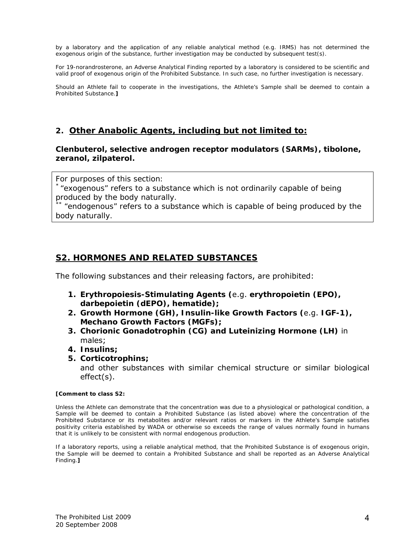by a laboratory and the application of any reliable analytical method (e.g. IRMS) has not determined the *exogenous origin of the substance, further investigation may be conducted by subsequent test(s).* 

For 19-norandrosterone, an Adverse Analytical Finding reported by a laboratory is considered to be scientific and valid proof of exogenous origin of the Prohibited Substance. In such case, no further investigation is necessary.

*Should an Athlete fail to cooperate in the investigations, the Athlete's Sample shall be deemed to contain a Prohibited Substance.]*

#### **2. Other Anabolic Agents, including but not limited to:**

**Clenbuterol, selective androgen receptor modulators (SARMs), tibolone, zeranol, zilpaterol.** 

*For purposes of this section:*  \* *"exogenous" refers to a substance which is not ordinarily capable of being produced by the body naturally.*

\*\* *"endogenous" refers to a substance which is capable of being produced by the body naturally.*

#### **S2. HORMONES AND RELATED SUBSTANCES**

The following substances and their releasing factors, are prohibited:

- **1. Erythropoiesis-Stimulating Agents (**e.g. **erythropoietin (EPO), darbepoietin (dEPO), hematide);**
- **2. Growth Hormone (GH), Insulin-like Growth Factors (**e.g. **IGF-1), Mechano Growth Factors (MGFs);**
- **3. Chorionic Gonadotrophin (CG) and Luteinizing Hormone (LH)** in males;
- **4. Insulins;**
- **5. Corticotrophins;**  and other substances with similar chemical structure or similar biological effect(s).

#### *[Comment to class S2:*

*Unless the Athlete can demonstrate that the concentration was due to a physiological or pathological condition, a Sample will be deemed to contain a Prohibited Substance (as listed above) where the concentration of the Prohibited Substance or its metabolites and/or relevant ratios or markers in the Athlete's Sample satisfies positivity criteria established by WADA or otherwise so exceeds the range of values normally found in humans that it is unlikely to be consistent with normal endogenous production.* 

*If a laboratory reports, using a reliable analytical method, that the Prohibited Substance is of exogenous origin, the Sample will be deemed to contain a Prohibited Substance and shall be reported as an Adverse Analytical Finding.]*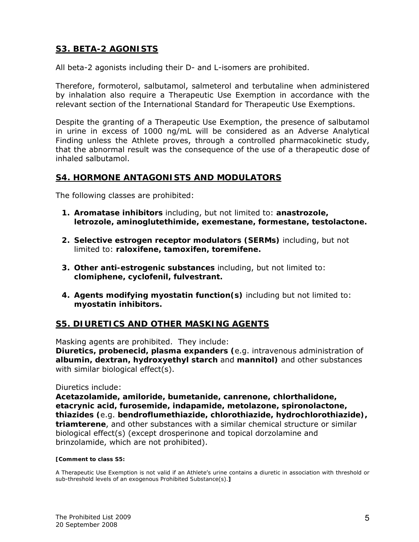#### **S3. BETA-2 AGONISTS**

All beta-2 agonists including their D- and L-isomers are prohibited.

Therefore, formoterol, salbutamol, salmeterol and terbutaline when administered by inhalation also require a Therapeutic Use Exemption in accordance with the relevant section of the International Standard for Therapeutic Use Exemptions.

Despite the granting of a Therapeutic Use Exemption, the presence of salbutamol in urine in excess of 1000 ng/mL will be considered as an *Adverse Analytical Finding* unless the *Athlete* proves, through a controlled pharmacokinetic study, that the abnormal result was the consequence of the use of a therapeutic dose of inhaled salbutamol.

#### **S4. HORMONE ANTAGONISTS AND MODULATORS**

The following classes are prohibited:

- **1. Aromatase inhibitors** including, but not limited to: **anastrozole, letrozole, aminoglutethimide, exemestane, formestane, testolactone.**
- **2. Selective estrogen receptor modulators (SERMs)** including, but not limited to: **raloxifene, tamoxifen, toremifene.**
- **3. Other anti-estrogenic substances** including, but not limited to: **clomiphene, cyclofenil, fulvestrant.**
- **4. Agents modifying myostatin function(s)** including but not limited to: **myostatin inhibitors.**

#### **S5. DIURETICS AND OTHER MASKING AGENTS**

Masking agents are prohibited. They include:

**Diuretics, probenecid, plasma expanders (**e.g. intravenous administration of **albumin, dextran, hydroxyethyl starch** and **mannitol)** and other substances with similar biological effect(s).

Diuretics include:

**Acetazolamide, amiloride, bumetanide, canrenone, chlorthalidone, etacrynic acid, furosemide, indapamide, metolazone, spironolactone, thiazides (**e.g. **bendroflumethiazide, chlorothiazide, hydrochlorothiazide), triamterene**, and other substances with a similar chemical structure or similar biological effect(s) (except drosperinone and topical dorzolamine and brinzolamide, which are not prohibited).

#### *[Comment to class S5:*

A Therapeutic Use Exemption is not valid if an *Athlete*'s urine contains a diuretic in association with threshold or sub-threshold levels of an exogenous *Prohibited Substance*(s)*.]*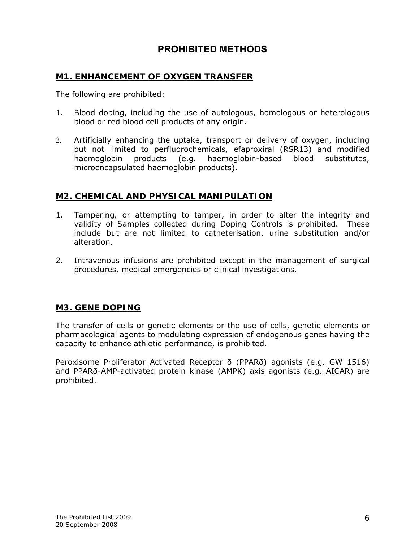#### **PROHIBITED METHODS**

#### **M1. ENHANCEMENT OF OXYGEN TRANSFER**

The following are prohibited:

- 1. Blood doping, including the use of autologous, homologous or heterologous blood or red blood cell products of any origin.
- 2. Artificially enhancing the uptake, transport or delivery of oxygen, including but not limited to perfluorochemicals, efaproxiral (RSR13) and modified haemoglobin products (e.g. haemoglobin-based blood substitutes, microencapsulated haemoglobin products).

#### **M2. CHEMICAL AND PHYSICAL MANIPULATION**

- 1. *Tampering,* or attempting to tamper, in order to alter the integrity and validity of *Samples* collected during *Doping Controls* is prohibited. These include but are not limited to catheterisation, urine substitution and/or alteration.
- 2. Intravenous infusions are prohibited except in the management of surgical procedures, medical emergencies or clinical investigations.

#### **M3. GENE DOPING**

The transfer of cells or genetic elements or the use of cells, genetic elements or pharmacological agents to modulating expression of endogenous genes having the capacity to enhance athletic performance, is prohibited.

Peroxisome Proliferator Activated Receptor δ (PPARδ) agonists (e.g. GW 1516) and PPARδ-AMP-activated protein kinase (AMPK) axis agonists (e.g. AICAR) are prohibited.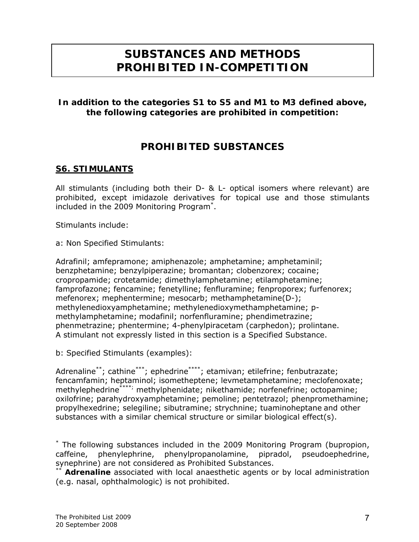## **SUBSTANCES AND METHODS PROHIBITED IN-COMPETITION**

#### **In addition to the categories S1 to S5 and M1 to M3 defined above, the following categories are prohibited in competition:**

#### **PROHIBITED SUBSTANCES**

#### **S6. STIMULANTS**

All stimulants (including both their D- & L- optical isomers where relevant) are prohibited, except imidazole derivatives for topical use and those stimulants included in the 2009 Monitoring Program\* .

Stimulants include:

a: Non Specified Stimulants:

Adrafinil; amfepramone; amiphenazole; amphetamine; amphetaminil; benzphetamine; benzylpiperazine; bromantan; clobenzorex; cocaine; cropropamide; crotetamide; dimethylamphetamine; etilamphetamine; famprofazone; fencamine; fenetylline; fenfluramine; fenproporex; furfenorex; mefenorex; mephentermine; mesocarb; methamphetamine(D-); methylenedioxyamphetamine; methylenedioxymethamphetamine; pmethylamphetamine; modafinil; norfenfluramine; phendimetrazine; phenmetrazine; phentermine; 4-phenylpiracetam (carphedon); prolintane. A stimulant not expressly listed in this section is a Specified Substance.

b: Specified Stimulants (examples):

Adrenaline\*\*; cathine\*\*\*; ephedrine\*\*\*\*; etamivan; etilefrine; fenbutrazate; fencamfamin; heptaminol; isometheptene; levmetamphetamine; meclofenoxate; methylephedrine<sup>\*\*\*\*;</sup> methylphenidate; nikethamide; norfenefrine; octopamine; oxilofrine; parahydroxyamphetamine; pemoline; pentetrazol; phenpromethamine; propylhexedrine; selegiline; sibutramine; strychnine; tuaminoheptane and other substances with a similar chemical structure or similar biological effect(s).

<sup>\*</sup> The following substances included in the 2009 Monitoring Program (bupropion, caffeine, phenylephrine, phenylpropanolamine, pipradol, pseudoephedrine, synephrine) are not considered as *Prohibited Substances*.

Adrenaline associated with local anaesthetic agents or by local administration (e.g. nasal, ophthalmologic) is not prohibited.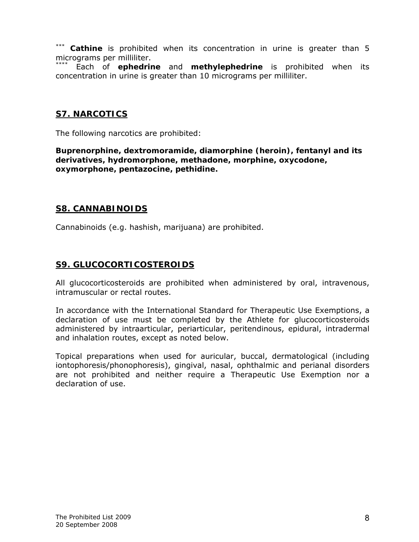\*\*\* **Cathine** is prohibited when its concentration in urine is greater than 5 micrograms per milliliter.

Each of **ephedrine** and **methylephedrine** is prohibited when its concentration in urine is greater than 10 micrograms per milliliter.

#### **S7. NARCOTICS**

The following narcotics are prohibited:

**Buprenorphine, dextromoramide, diamorphine (heroin), fentanyl and its derivatives, hydromorphone, methadone, morphine, oxycodone, oxymorphone, pentazocine, pethidine.** 

#### **S8. CANNABINOIDS**

Cannabinoids (e.g. hashish, marijuana) are prohibited.

#### **S9. GLUCOCORTICOSTEROIDS**

All glucocorticosteroids are prohibited when administered by oral, intravenous, intramuscular or rectal routes.

In accordance with the International Standard for Therapeutic Use Exemptions, a declaration of use must be completed by the *Athlete* for glucocorticosteroids administered by intraarticular, periarticular, peritendinous, epidural, intradermal and inhalation routes, except as noted below.

Topical preparations when used for auricular, buccal, dermatological (including iontophoresis/phonophoresis), gingival, nasal, ophthalmic and perianal disorders are not prohibited and neither require a Therapeutic Use Exemption nor a declaration of use.